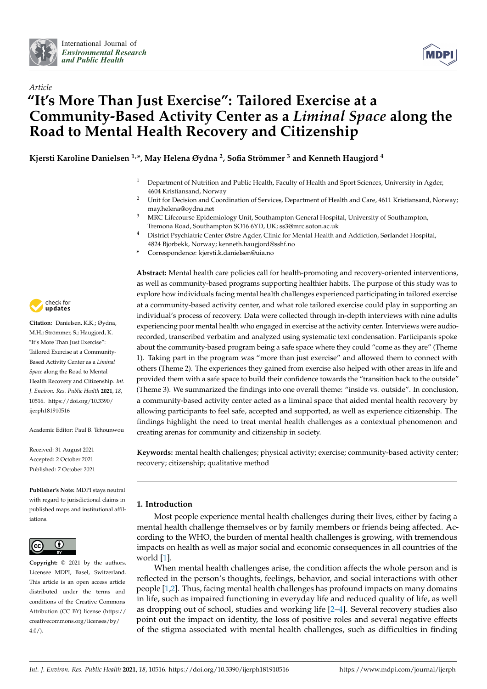



# *Article* **"It's More Than Just Exercise": Tailored Exercise at a Community-Based Activity Center as a** *Liminal Space* **along the Road to Mental Health Recovery and Citizenship**

**Kjersti Karoline Danielsen 1,\*, May Helena Øydna <sup>2</sup> , Sofia Strömmer <sup>3</sup> and Kenneth Haugjord <sup>4</sup>**

- <sup>1</sup> Department of Nutrition and Public Health, Faculty of Health and Sport Sciences, University in Agder, 4604 Kristiansand, Norway
- <sup>2</sup> Unit for Decision and Coordination of Services, Department of Health and Care, 4611 Kristiansand, Norway; may.helena@oydna.net
- <sup>3</sup> MRC Lifecourse Epidemiology Unit, Southampton General Hospital, University of Southampton, Tremona Road, Southampton SO16 6YD, UK; ss3@mrc.soton.ac.uk
- <sup>4</sup> District Psychiatric Center Østre Agder, Clinic for Mental Health and Addiction, Sørlandet Hospital, 4824 Bjorbekk, Norway; kenneth.haugjord@sshf.no
- **\*** Correspondence: kjersti.k.danielsen@uia.no

**Abstract:** Mental health care policies call for health-promoting and recovery-oriented interventions, as well as community-based programs supporting healthier habits. The purpose of this study was to explore how individuals facing mental health challenges experienced participating in tailored exercise at a community-based activity center, and what role tailored exercise could play in supporting an individual's process of recovery. Data were collected through in-depth interviews with nine adults experiencing poor mental health who engaged in exercise at the activity center. Interviews were audiorecorded, transcribed verbatim and analyzed using systematic text condensation. Participants spoke about the community-based program being a safe space where they could "come as they are" (Theme 1). Taking part in the program was "more than just exercise" and allowed them to connect with others (Theme 2). The experiences they gained from exercise also helped with other areas in life and provided them with a safe space to build their confidence towards the "transition back to the outside" (Theme 3). We summarized the findings into one overall theme: "inside vs. outside". In conclusion, a community-based activity center acted as a liminal space that aided mental health recovery by allowing participants to feel safe, accepted and supported, as well as experience citizenship. The findings highlight the need to treat mental health challenges as a contextual phenomenon and creating arenas for community and citizenship in society.

**Keywords:** mental health challenges; physical activity; exercise; community-based activity center; recovery; citizenship; qualitative method

## **1. Introduction**

Most people experience mental health challenges during their lives, either by facing a mental health challenge themselves or by family members or friends being affected. According to the WHO, the burden of mental health challenges is growing, with tremendous impacts on health as well as major social and economic consequences in all countries of the world [\[1\]](#page-15-0).

When mental health challenges arise, the condition affects the whole person and is reflected in the person's thoughts, feelings, behavior, and social interactions with other people [\[1,](#page-15-0)[2\]](#page-15-1). Thus, facing mental health challenges has profound impacts on many domains in life, such as impaired functioning in everyday life and reduced quality of life, as well as dropping out of school, studies and working life [\[2](#page-15-1)[–4\]](#page-15-2). Several recovery studies also point out the impact on identity, the loss of positive roles and several negative effects of the stigma associated with mental health challenges, such as difficulties in finding



**Citation:** Danielsen, K.K.; Øydna, M.H.; Strömmer, S.; Haugjord, K. "It's More Than Just Exercise": Tailored Exercise at a Community-Based Activity Center as a *Liminal Space* along the Road to Mental Health Recovery and Citizenship. *Int. J. Environ. Res. Public Health* **2021**, *18*, 10516. [https://doi.org/10.3390/](https://doi.org/10.3390/ijerph181910516) [ijerph181910516](https://doi.org/10.3390/ijerph181910516)

Academic Editor: Paul B. Tchounwou

Received: 31 August 2021 Accepted: 2 October 2021 Published: 7 October 2021

**Publisher's Note:** MDPI stays neutral with regard to jurisdictional claims in published maps and institutional affiliations.



**Copyright:** © 2021 by the authors. Licensee MDPI, Basel, Switzerland. This article is an open access article distributed under the terms and conditions of the Creative Commons Attribution (CC BY) license (https:/[/](https://creativecommons.org/licenses/by/4.0/) [creativecommons.org/licenses/by/](https://creativecommons.org/licenses/by/4.0/)  $4.0/$ ).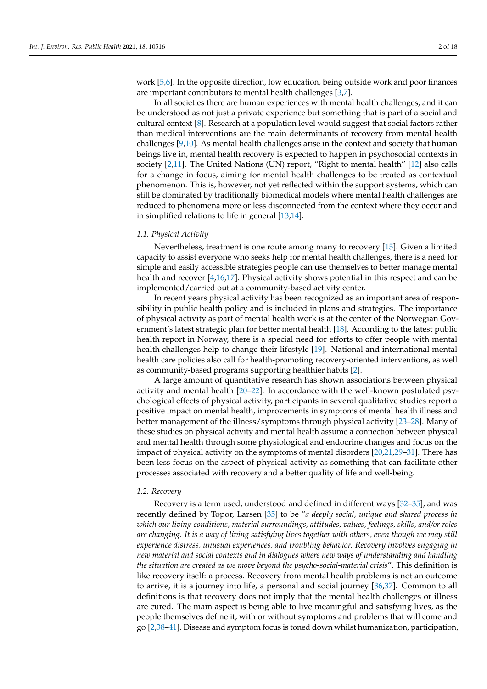work [\[5](#page-15-3)[,6\]](#page-15-4). In the opposite direction, low education, being outside work and poor finances are important contributors to mental health challenges [\[3,](#page-15-5)[7\]](#page-15-6).

In all societies there are human experiences with mental health challenges, and it can be understood as not just a private experience but something that is part of a social and cultural context [\[8\]](#page-15-7). Research at a population level would suggest that social factors rather than medical interventions are the main determinants of recovery from mental health challenges [\[9](#page-15-8)[,10\]](#page-15-9). As mental health challenges arise in the context and society that human beings live in, mental health recovery is expected to happen in psychosocial contexts in society [\[2,](#page-15-1)[11\]](#page-15-10). The United Nations (UN) report, "Right to mental health" [\[12\]](#page-15-11) also calls for a change in focus, aiming for mental health challenges to be treated as contextual phenomenon. This is, however, not yet reflected within the support systems, which can still be dominated by traditionally biomedical models where mental health challenges are reduced to phenomena more or less disconnected from the context where they occur and in simplified relations to life in general [\[13](#page-15-12)[,14\]](#page-15-13).

#### *1.1. Physical Activity*

Nevertheless, treatment is one route among many to recovery [\[15\]](#page-15-14). Given a limited capacity to assist everyone who seeks help for mental health challenges, there is a need for simple and easily accessible strategies people can use themselves to better manage mental health and recover [\[4](#page-15-2)[,16](#page-15-15)[,17\]](#page-15-16). Physical activity shows potential in this respect and can be implemented/carried out at a community-based activity center.

In recent years physical activity has been recognized as an important area of responsibility in public health policy and is included in plans and strategies. The importance of physical activity as part of mental health work is at the center of the Norwegian Government's latest strategic plan for better mental health [\[18\]](#page-15-17). According to the latest public health report in Norway, there is a special need for efforts to offer people with mental health challenges help to change their lifestyle [\[19\]](#page-15-18). National and international mental health care policies also call for health-promoting recovery-oriented interventions, as well as community-based programs supporting healthier habits [\[2\]](#page-15-1).

A large amount of quantitative research has shown associations between physical activity and mental health [\[20](#page-15-19)[–22\]](#page-15-20). In accordance with the well-known postulated psychological effects of physical activity, participants in several qualitative studies report a positive impact on mental health, improvements in symptoms of mental health illness and better management of the illness/symptoms through physical activity [\[23](#page-15-21)[–28\]](#page-15-22). Many of these studies on physical activity and mental health assume a connection between physical and mental health through some physiological and endocrine changes and focus on the impact of physical activity on the symptoms of mental disorders [\[20,](#page-15-19)[21](#page-15-23)[,29](#page-16-0)[–31\]](#page-16-1). There has been less focus on the aspect of physical activity as something that can facilitate other processes associated with recovery and a better quality of life and well-being.

#### *1.2. Recovery*

Recovery is a term used, understood and defined in different ways [\[32–](#page-16-2)[35\]](#page-16-3), and was recently defined by Topor, Larsen [\[35\]](#page-16-3) to be "*a deeply social, unique and shared process in which our living conditions, material surroundings, attitudes, values, feelings, skills, and/or roles are changing. It is a way of living satisfying lives together with others, even though we may still experience distress, unusual experiences, and troubling behavior. Recovery involves engaging in new material and social contexts and in dialogues where new ways of understanding and handling the situation are created as we move beyond the psycho-social-material crisis*". This definition is like recovery itself: a process. Recovery from mental health problems is not an outcome to arrive, it is a journey into life, a personal and social journey [\[36](#page-16-4)[,37\]](#page-16-5). Common to all definitions is that recovery does not imply that the mental health challenges or illness are cured. The main aspect is being able to live meaningful and satisfying lives, as the people themselves define it, with or without symptoms and problems that will come and go [\[2,](#page-15-1)[38](#page-16-6)[–41\]](#page-16-7). Disease and symptom focus is toned down whilst humanization, participation,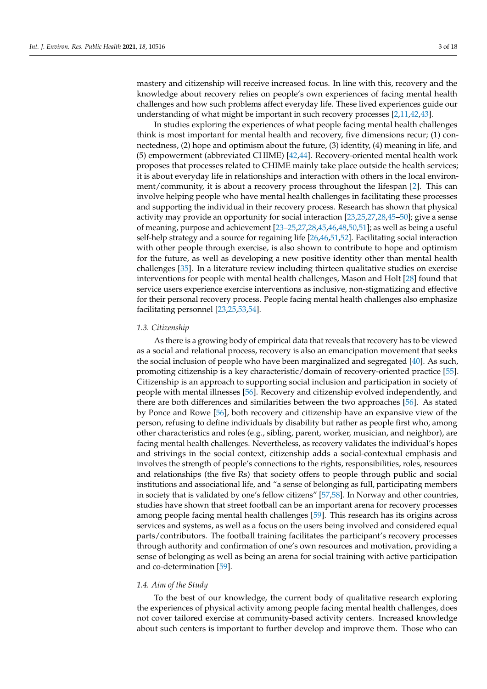mastery and citizenship will receive increased focus. In line with this, recovery and the knowledge about recovery relies on people's own experiences of facing mental health challenges and how such problems affect everyday life. These lived experiences guide our understanding of what might be important in such recovery processes [\[2](#page-15-1)[,11](#page-15-10)[,42](#page-16-8)[,43\]](#page-16-9).

In studies exploring the experiences of what people facing mental health challenges think is most important for mental health and recovery, five dimensions recur; (1) connectedness, (2) hope and optimism about the future, (3) identity, (4) meaning in life, and (5) empowerment (abbreviated CHIME) [\[42,](#page-16-8)[44\]](#page-16-10). Recovery-oriented mental health work proposes that processes related to CHIME mainly take place outside the health services; it is about everyday life in relationships and interaction with others in the local environment/community, it is about a recovery process throughout the lifespan [\[2\]](#page-15-1). This can involve helping people who have mental health challenges in facilitating these processes and supporting the individual in their recovery process. Research has shown that physical activity may provide an opportunity for social interaction [\[23](#page-15-21)[,25,](#page-15-24)[27,](#page-15-25)[28,](#page-15-22)[45–](#page-16-11)[50\]](#page-16-12); give a sense of meaning, purpose and achievement [\[23–](#page-15-21)[25,](#page-15-24)[27,](#page-15-25)[28,](#page-15-22)[45](#page-16-11)[,46](#page-16-13)[,48](#page-16-14)[,50,](#page-16-12)[51\]](#page-16-15); as well as being a useful self-help strategy and a source for regaining life [\[26,](#page-15-26)[46](#page-16-13)[,51](#page-16-15)[,52\]](#page-16-16). Facilitating social interaction with other people through exercise, is also shown to contribute to hope and optimism for the future, as well as developing a new positive identity other than mental health challenges [\[35\]](#page-16-3). In a literature review including thirteen qualitative studies on exercise interventions for people with mental health challenges, Mason and Holt [\[28\]](#page-15-22) found that service users experience exercise interventions as inclusive, non-stigmatizing and effective for their personal recovery process. People facing mental health challenges also emphasize facilitating personnel [\[23](#page-15-21)[,25,](#page-15-24)[53,](#page-16-17)[54\]](#page-16-18).

## *1.3. Citizenship*

As there is a growing body of empirical data that reveals that recovery has to be viewed as a social and relational process, recovery is also an emancipation movement that seeks the social inclusion of people who have been marginalized and segregated [\[40\]](#page-16-19). As such, promoting citizenship is a key characteristic/domain of recovery-oriented practice [\[55\]](#page-16-20). Citizenship is an approach to supporting social inclusion and participation in society of people with mental illnesses [\[56\]](#page-16-21). Recovery and citizenship evolved independently, and there are both differences and similarities between the two approaches [\[56\]](#page-16-21). As stated by Ponce and Rowe [\[56\]](#page-16-21), both recovery and citizenship have an expansive view of the person, refusing to define individuals by disability but rather as people first who, among other characteristics and roles (e.g., sibling, parent, worker, musician, and neighbor), are facing mental health challenges. Nevertheless, as recovery validates the individual's hopes and strivings in the social context, citizenship adds a social-contextual emphasis and involves the strength of people's connections to the rights, responsibilities, roles, resources and relationships (the five Rs) that society offers to people through public and social institutions and associational life, and "a sense of belonging as full, participating members in society that is validated by one's fellow citizens" [\[57](#page-17-0)[,58\]](#page-17-1). In Norway and other countries, studies have shown that street football can be an important arena for recovery processes among people facing mental health challenges [\[59\]](#page-17-2). This research has its origins across services and systems, as well as a focus on the users being involved and considered equal parts/contributors. The football training facilitates the participant's recovery processes through authority and confirmation of one's own resources and motivation, providing a sense of belonging as well as being an arena for social training with active participation and co-determination [\[59\]](#page-17-2).

# *1.4. Aim of the Study*

To the best of our knowledge, the current body of qualitative research exploring the experiences of physical activity among people facing mental health challenges, does not cover tailored exercise at community-based activity centers. Increased knowledge about such centers is important to further develop and improve them. Those who can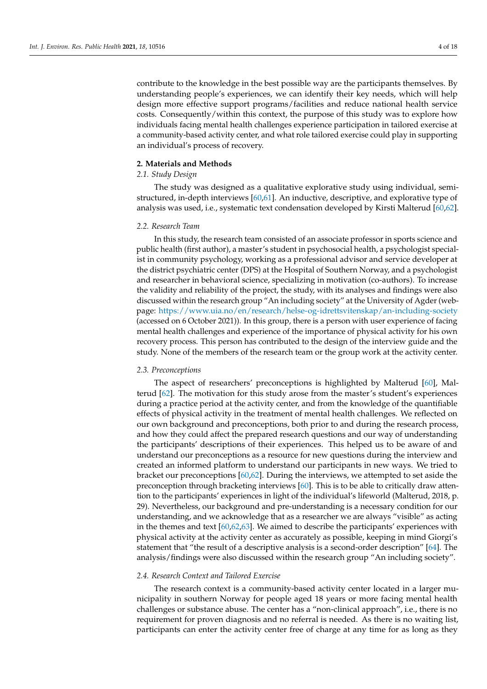contribute to the knowledge in the best possible way are the participants themselves. By understanding people's experiences, we can identify their key needs, which will help design more effective support programs/facilities and reduce national health service costs. Consequently/within this context, the purpose of this study was to explore how individuals facing mental health challenges experience participation in tailored exercise at a community-based activity center, and what role tailored exercise could play in supporting an individual's process of recovery.

#### **2. Materials and Methods**

# *2.1. Study Design*

The study was designed as a qualitative explorative study using individual, semistructured, in-depth interviews [\[60](#page-17-3)[,61\]](#page-17-4). An inductive, descriptive, and explorative type of analysis was used, i.e., systematic text condensation developed by Kirsti Malterud [\[60](#page-17-3)[,62\]](#page-17-5).

#### *2.2. Research Team*

In this study, the research team consisted of an associate professor in sports science and public health (first author), a master's student in psychosocial health, a psychologist specialist in community psychology, working as a professional advisor and service developer at the district psychiatric center (DPS) at the Hospital of Southern Norway, and a psychologist and researcher in behavioral science, specializing in motivation (co-authors). To increase the validity and reliability of the project, the study, with its analyses and findings were also discussed within the research group "An including society" at the University of Agder (webpage: <https://www.uia.no/en/research/helse-og-idrettsvitenskap/an-including-society> (accessed on 6 October 2021)). In this group, there is a person with user experience of facing mental health challenges and experience of the importance of physical activity for his own recovery process. This person has contributed to the design of the interview guide and the study. None of the members of the research team or the group work at the activity center.

## *2.3. Preconceptions*

The aspect of researchers' preconceptions is highlighted by Malterud [\[60\]](#page-17-3), Malterud [\[62\]](#page-17-5). The motivation for this study arose from the master's student's experiences during a practice period at the activity center, and from the knowledge of the quantifiable effects of physical activity in the treatment of mental health challenges. We reflected on our own background and preconceptions, both prior to and during the research process, and how they could affect the prepared research questions and our way of understanding the participants' descriptions of their experiences. This helped us to be aware of and understand our preconceptions as a resource for new questions during the interview and created an informed platform to understand our participants in new ways. We tried to bracket our preconceptions [\[60](#page-17-3)[,62\]](#page-17-5). During the interviews, we attempted to set aside the preconception through bracketing interviews [\[60\]](#page-17-3). This is to be able to critically draw attention to the participants' experiences in light of the individual's lifeworld (Malterud, 2018, p. 29). Nevertheless, our background and pre-understanding is a necessary condition for our understanding, and we acknowledge that as a researcher we are always "visible" as acting in the themes and text [\[60](#page-17-3)[,62](#page-17-5)[,63\]](#page-17-6). We aimed to describe the participants' experiences with physical activity at the activity center as accurately as possible, keeping in mind Giorgi's statement that "the result of a descriptive analysis is a second-order description" [\[64\]](#page-17-7). The analysis/findings were also discussed within the research group "An including society".

## *2.4. Research Context and Tailored Exercise*

The research context is a community-based activity center located in a larger municipality in southern Norway for people aged 18 years or more facing mental health challenges or substance abuse. The center has a "non-clinical approach", i.e., there is no requirement for proven diagnosis and no referral is needed. As there is no waiting list, participants can enter the activity center free of charge at any time for as long as they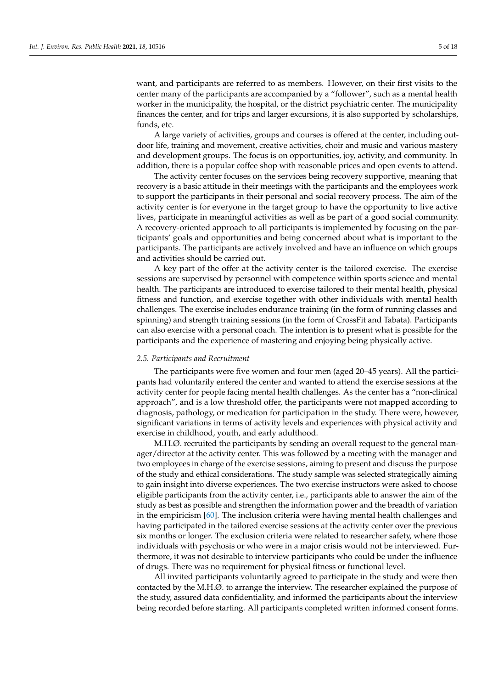want, and participants are referred to as members. However, on their first visits to the center many of the participants are accompanied by a "follower", such as a mental health worker in the municipality, the hospital, or the district psychiatric center. The municipality finances the center, and for trips and larger excursions, it is also supported by scholarships, funds, etc.

A large variety of activities, groups and courses is offered at the center, including outdoor life, training and movement, creative activities, choir and music and various mastery and development groups. The focus is on opportunities, joy, activity, and community. In addition, there is a popular coffee shop with reasonable prices and open events to attend.

The activity center focuses on the services being recovery supportive, meaning that recovery is a basic attitude in their meetings with the participants and the employees work to support the participants in their personal and social recovery process. The aim of the activity center is for everyone in the target group to have the opportunity to live active lives, participate in meaningful activities as well as be part of a good social community. A recovery-oriented approach to all participants is implemented by focusing on the participants' goals and opportunities and being concerned about what is important to the participants. The participants are actively involved and have an influence on which groups and activities should be carried out.

A key part of the offer at the activity center is the tailored exercise. The exercise sessions are supervised by personnel with competence within sports science and mental health. The participants are introduced to exercise tailored to their mental health, physical fitness and function, and exercise together with other individuals with mental health challenges. The exercise includes endurance training (in the form of running classes and spinning) and strength training sessions (in the form of CrossFit and Tabata). Participants can also exercise with a personal coach. The intention is to present what is possible for the participants and the experience of mastering and enjoying being physically active.

#### *2.5. Participants and Recruitment*

The participants were five women and four men (aged 20–45 years). All the participants had voluntarily entered the center and wanted to attend the exercise sessions at the activity center for people facing mental health challenges. As the center has a "non-clinical approach", and is a low threshold offer, the participants were not mapped according to diagnosis, pathology, or medication for participation in the study. There were, however, significant variations in terms of activity levels and experiences with physical activity and exercise in childhood, youth, and early adulthood.

M.H.Ø. recruited the participants by sending an overall request to the general manager/director at the activity center. This was followed by a meeting with the manager and two employees in charge of the exercise sessions, aiming to present and discuss the purpose of the study and ethical considerations. The study sample was selected strategically aiming to gain insight into diverse experiences. The two exercise instructors were asked to choose eligible participants from the activity center, i.e., participants able to answer the aim of the study as best as possible and strengthen the information power and the breadth of variation in the empiricism [\[60\]](#page-17-3). The inclusion criteria were having mental health challenges and having participated in the tailored exercise sessions at the activity center over the previous six months or longer. The exclusion criteria were related to researcher safety, where those individuals with psychosis or who were in a major crisis would not be interviewed. Furthermore, it was not desirable to interview participants who could be under the influence of drugs. There was no requirement for physical fitness or functional level.

All invited participants voluntarily agreed to participate in the study and were then contacted by the M.H.Ø. to arrange the interview. The researcher explained the purpose of the study, assured data confidentiality, and informed the participants about the interview being recorded before starting. All participants completed written informed consent forms.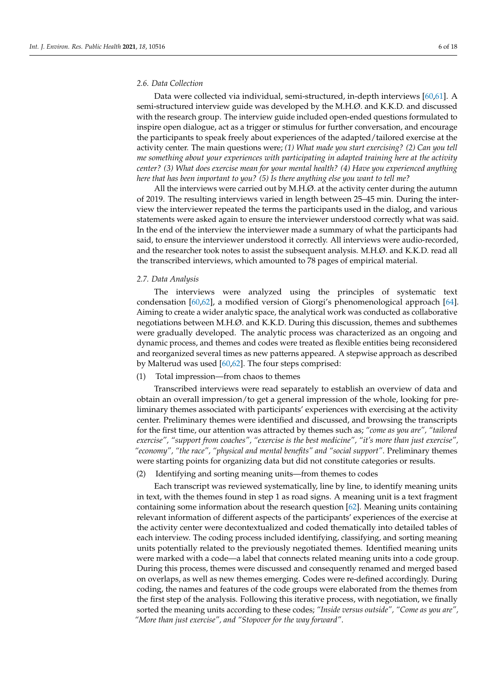## *2.6. Data Collection*

Data were collected via individual, semi-structured, in-depth interviews [\[60,](#page-17-3)[61\]](#page-17-4). A semi-structured interview guide was developed by the M.H.Ø. and K.K.D. and discussed with the research group. The interview guide included open-ended questions formulated to inspire open dialogue, act as a trigger or stimulus for further conversation, and encourage the participants to speak freely about experiences of the adapted/tailored exercise at the activity center. The main questions were; *(1) What made you start exercising? (2) Can you tell me something about your experiences with participating in adapted training here at the activity center? (3) What does exercise mean for your mental health? (4) Have you experienced anything here that has been important to you? (5) Is there anything else you want to tell me?*

All the interviews were carried out by M.H.Ø. at the activity center during the autumn of 2019. The resulting interviews varied in length between 25–45 min. During the interview the interviewer repeated the terms the participants used in the dialog, and various statements were asked again to ensure the interviewer understood correctly what was said. In the end of the interview the interviewer made a summary of what the participants had said, to ensure the interviewer understood it correctly. All interviews were audio-recorded, and the researcher took notes to assist the subsequent analysis. M.H.Ø. and K.K.D. read all the transcribed interviews, which amounted to 78 pages of empirical material.

## *2.7. Data Analysis*

The interviews were analyzed using the principles of systematic text condensation [\[60](#page-17-3)[,62\]](#page-17-5), a modified version of Giorgi's phenomenological approach [\[64\]](#page-17-7). Aiming to create a wider analytic space, the analytical work was conducted as collaborative negotiations between M.H.Ø. and K.K.D. During this discussion, themes and subthemes were gradually developed. The analytic process was characterized as an ongoing and dynamic process, and themes and codes were treated as flexible entities being reconsidered and reorganized several times as new patterns appeared. A stepwise approach as described by Malterud was used [\[60](#page-17-3)[,62\]](#page-17-5). The four steps comprised:

## (1) Total impression—from chaos to themes

Transcribed interviews were read separately to establish an overview of data and obtain an overall impression/to get a general impression of the whole, looking for preliminary themes associated with participants' experiences with exercising at the activity center. Preliminary themes were identified and discussed, and browsing the transcripts for the first time, our attention was attracted by themes such as; *"come as you are", "tailored exercise", "support from coaches", "exercise is the best medicine", "it's more than just exercise", "economy", "the race", "physical and mental benefits" and "social support"*. Preliminary themes were starting points for organizing data but did not constitute categories or results.

(2) Identifying and sorting meaning units—from themes to codes

Each transcript was reviewed systematically, line by line, to identify meaning units in text, with the themes found in step 1 as road signs. A meaning unit is a text fragment containing some information about the research question [\[62\]](#page-17-5). Meaning units containing relevant information of different aspects of the participants' experiences of the exercise at the activity center were decontextualized and coded thematically into detailed tables of each interview. The coding process included identifying, classifying, and sorting meaning units potentially related to the previously negotiated themes. Identified meaning units were marked with a code—a label that connects related meaning units into a code group. During this process, themes were discussed and consequently renamed and merged based on overlaps, as well as new themes emerging. Codes were re-defined accordingly. During coding, the names and features of the code groups were elaborated from the themes from the first step of the analysis. Following this iterative process, with negotiation, we finally sorted the meaning units according to these codes; *"Inside versus outside", "Come as you are", "More than just exercise", and "Stopover for the way forward"*.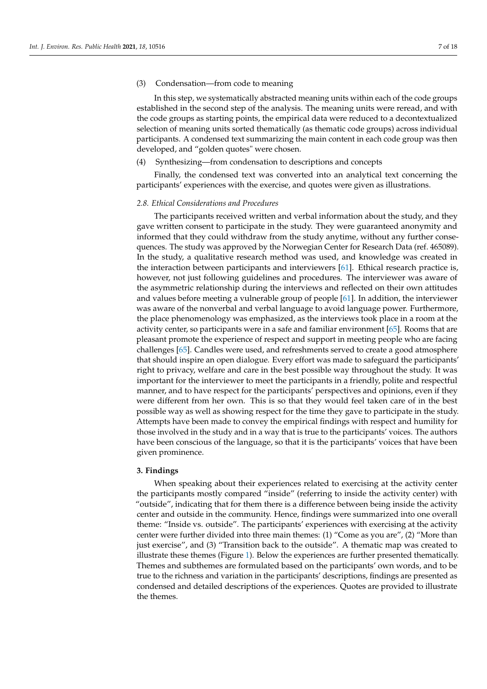#### (3) Condensation—from code to meaning

In this step, we systematically abstracted meaning units within each of the code groups established in the second step of the analysis. The meaning units were reread, and with the code groups as starting points, the empirical data were reduced to a decontextualized selection of meaning units sorted thematically (as thematic code groups) across individual participants. A condensed text summarizing the main content in each code group was then developed, and "golden quotes" were chosen.

## (4) Synthesizing—from condensation to descriptions and concepts

Finally, the condensed text was converted into an analytical text concerning the participants' experiences with the exercise, and quotes were given as illustrations.

#### *2.8. Ethical Considerations and Procedures*

The participants received written and verbal information about the study, and they gave written consent to participate in the study. They were guaranteed anonymity and informed that they could withdraw from the study anytime, without any further consequences. The study was approved by the Norwegian Center for Research Data (ref. 465089). In the study, a qualitative research method was used, and knowledge was created in the interaction between participants and interviewers [\[61\]](#page-17-4). Ethical research practice is, however, not just following guidelines and procedures. The interviewer was aware of the asymmetric relationship during the interviews and reflected on their own attitudes and values before meeting a vulnerable group of people [\[61\]](#page-17-4). In addition, the interviewer was aware of the nonverbal and verbal language to avoid language power. Furthermore, the place phenomenology was emphasized, as the interviews took place in a room at the activity center, so participants were in a safe and familiar environment [\[65\]](#page-17-8). Rooms that are pleasant promote the experience of respect and support in meeting people who are facing challenges [\[65\]](#page-17-8). Candles were used, and refreshments served to create a good atmosphere that should inspire an open dialogue. Every effort was made to safeguard the participants' right to privacy, welfare and care in the best possible way throughout the study. It was important for the interviewer to meet the participants in a friendly, polite and respectful manner, and to have respect for the participants' perspectives and opinions, even if they were different from her own. This is so that they would feel taken care of in the best possible way as well as showing respect for the time they gave to participate in the study. Attempts have been made to convey the empirical findings with respect and humility for those involved in the study and in a way that is true to the participants' voices. The authors have been conscious of the language, so that it is the participants' voices that have been given prominence.

# **3. Findings**

When speaking about their experiences related to exercising at the activity center the participants mostly compared "inside" (referring to inside the activity center) with "outside", indicating that for them there is a difference between being inside the activity center and outside in the community. Hence, findings were summarized into one overall theme: "Inside vs. outside". The participants' experiences with exercising at the activity center were further divided into three main themes: (1) "Come as you are", (2) "More than just exercise", and (3) "Transition back to the outside". A thematic map was created to illustrate these themes (Figure [1\)](#page-7-0). Below the experiences are further presented thematically. Themes and subthemes are formulated based on the participants' own words, and to be true to the richness and variation in the participants' descriptions, findings are presented as condensed and detailed descriptions of the experiences. Quotes are provided to illustrate the themes.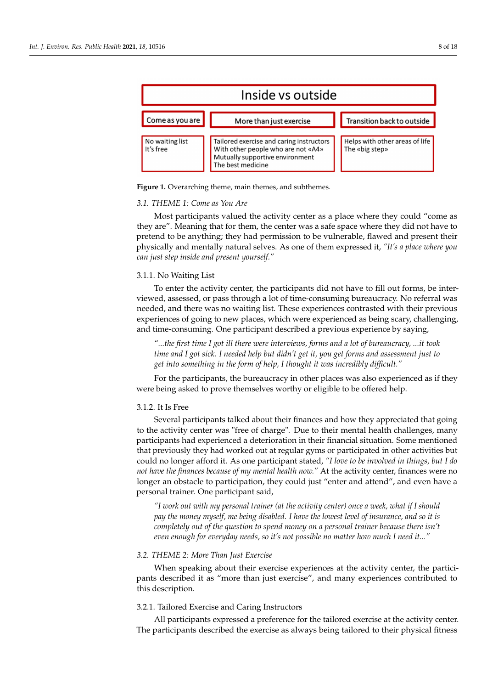<span id="page-7-0"></span>

**Figure 1.** Overarching theme, main themes, and subthemes.

# *3.1. THEME 1: Come as You Are*

Most participants valued the activity center as a place where they could "come as they are". Meaning that for them, the center was a safe space where they did not have to pretend to be anything; they had permission to be vulnerable, flawed and present their physically and mentally natural selves. As one of them expressed it, *"It's a place where you can just step inside and present yourself."*

## 3.1.1. No Waiting List

To enter the activity center, the participants did not have to fill out forms, be interviewed, assessed, or pass through a lot of time-consuming bureaucracy. No referral was needed, and there was no waiting list. These experiences contrasted with their previous experiences of going to new places, which were experienced as being scary, challenging, and time-consuming. One participant described a previous experience by saying,

*"...the first time I got ill there were interviews, forms and a lot of bureaucracy, ...it took time and I got sick. I needed help but didn't get it, you get forms and assessment just to get into something in the form of help, I thought it was incredibly difficult."*

For the participants, the bureaucracy in other places was also experienced as if they were being asked to prove themselves worthy or eligible to be offered help.

# 3.1.2. It Is Free

Several participants talked about their finances and how they appreciated that going to the activity center was "free of charge". Due to their mental health challenges, many participants had experienced a deterioration in their financial situation. Some mentioned that previously they had worked out at regular gyms or participated in other activities but could no longer afford it. As one participant stated, *"I love to be involved in things, but I do not have the finances because of my mental health now."* At the activity center, finances were no longer an obstacle to participation, they could just "enter and attend", and even have a personal trainer. One participant said,

*"I work out with my personal trainer (at the activity center) once a week, what if I should pay the money myself, me being disabled. I have the lowest level of insurance, and so it is completely out of the question to spend money on a personal trainer because there isn't even enough for everyday needs, so it's not possible no matter how much I need it..."*

## *3.2. THEME 2: More Than Just Exercise*

When speaking about their exercise experiences at the activity center, the participants described it as "more than just exercise", and many experiences contributed to this description.

## 3.2.1. Tailored Exercise and Caring Instructors

All participants expressed a preference for the tailored exercise at the activity center. The participants described the exercise as always being tailored to their physical fitness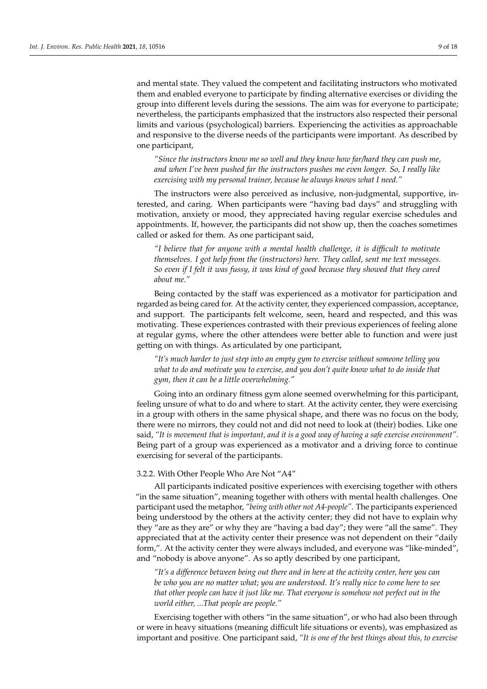and mental state. They valued the competent and facilitating instructors who motivated them and enabled everyone to participate by finding alternative exercises or dividing the group into different levels during the sessions. The aim was for everyone to participate; nevertheless, the participants emphasized that the instructors also respected their personal limits and various (psychological) barriers. Experiencing the activities as approachable and responsive to the diverse needs of the participants were important. As described by one participant,

*"Since the instructors know me so well and they know how far/hard they can push me, and when I've been pushed far the instructors pushes me even longer. So, I really like exercising with my personal trainer, because he always knows what I need."*

The instructors were also perceived as inclusive, non-judgmental, supportive, interested, and caring. When participants were "having bad days" and struggling with motivation, anxiety or mood, they appreciated having regular exercise schedules and appointments. If, however, the participants did not show up, then the coaches sometimes called or asked for them. As one participant said,

*"I believe that for anyone with a mental health challenge, it is difficult to motivate themselves. I got help from the (instructors) here. They called, sent me text messages. So even if I felt it was fussy, it was kind of good because they showed that they cared about me."*

Being contacted by the staff was experienced as a motivator for participation and regarded as being cared for. At the activity center, they experienced compassion, acceptance, and support. The participants felt welcome, seen, heard and respected, and this was motivating. These experiences contrasted with their previous experiences of feeling alone at regular gyms, where the other attendees were better able to function and were just getting on with things. As articulated by one participant,

*"It's much harder to just step into an empty gym to exercise without someone telling you what to do and motivate you to exercise, and you don't quite know what to do inside that gym, then it can be a little overwhelming."*

Going into an ordinary fitness gym alone seemed overwhelming for this participant, feeling unsure of what to do and where to start. At the activity center, they were exercising in a group with others in the same physical shape, and there was no focus on the body, there were no mirrors, they could not and did not need to look at (their) bodies. Like one said, *"It is movement that is important, and it is a good way of having a safe exercise environment".* Being part of a group was experienced as a motivator and a driving force to continue exercising for several of the participants.

## 3.2.2. With Other People Who Are Not "A4"

All participants indicated positive experiences with exercising together with others "in the same situation", meaning together with others with mental health challenges. One participant used the metaphor, *"being with other not A4-people"*. The participants experienced being understood by the others at the activity center; they did not have to explain why they "are as they are" or why they are "having a bad day"; they were "all the same". They appreciated that at the activity center their presence was not dependent on their "daily form,". At the activity center they were always included, and everyone was "like-minded", and "nobody is above anyone". As so aptly described by one participant,

*"It's a difference between being out there and in here at the activity center, here you can be who you are no matter what; you are understood. It's really nice to come here to see that other people can have it just like me. That everyone is somehow not perfect out in the world either, ...That people are people."*

Exercising together with others "in the same situation", or who had also been through or were in heavy situations (meaning difficult life situations or events), was emphasized as important and positive. One participant said, *"It is one of the best things about this, to exercise*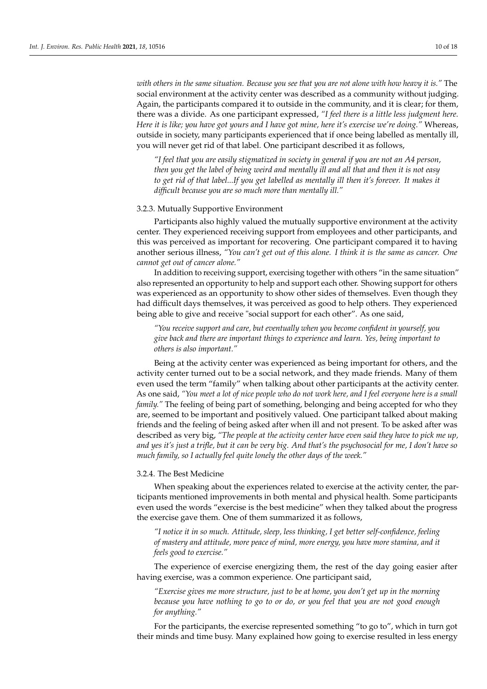*with others in the same situation. Because you see that you are not alone with how heavy it is."* The social environment at the activity center was described as a community without judging. Again, the participants compared it to outside in the community, and it is clear; for them, there was a divide. As one participant expressed, *"I feel there is a little less judgment here. Here it is like; you have got yours and I have got mine, here it's exercise we're doing."* Whereas, outside in society, many participants experienced that if once being labelled as mentally ill, you will never get rid of that label. One participant described it as follows,

*"I feel that you are easily stigmatized in society in general if you are not an A4 person, then you get the label of being weird and mentally ill and all that and then it is not easy to get rid of that label...If you get labelled as mentally ill then it's forever. It makes it difficult because you are so much more than mentally ill."*

# 3.2.3. Mutually Supportive Environment

Participants also highly valued the mutually supportive environment at the activity center. They experienced receiving support from employees and other participants, and this was perceived as important for recovering. One participant compared it to having another serious illness, *"You can't get out of this alone. I think it is the same as cancer. One cannot get out of cancer alone."*

In addition to receiving support, exercising together with others "in the same situation" also represented an opportunity to help and support each other. Showing support for others was experienced as an opportunity to show other sides of themselves. Even though they had difficult days themselves, it was perceived as good to help others. They experienced being able to give and receive "social support for each other". As one said,

*"You receive support and care, but eventually when you become confident in yourself, you give back and there are important things to experience and learn. Yes, being important to others is also important."*

Being at the activity center was experienced as being important for others, and the activity center turned out to be a social network, and they made friends. Many of them even used the term "family" when talking about other participants at the activity center. As one said, *"You meet a lot of nice people who do not work here, and I feel everyone here is a small family."* The feeling of being part of something, belonging and being accepted for who they are, seemed to be important and positively valued. One participant talked about making friends and the feeling of being asked after when ill and not present. To be asked after was described as very big, *"The people at the activity center have even said they have to pick me up, and yes it's just a trifle, but it can be very big. And that's the psychosocial for me, I don't have so much family, so I actually feel quite lonely the other days of the week."*

## 3.2.4. The Best Medicine

When speaking about the experiences related to exercise at the activity center, the participants mentioned improvements in both mental and physical health. Some participants even used the words "exercise is the best medicine" when they talked about the progress the exercise gave them. One of them summarized it as follows,

*"I notice it in so much. Attitude, sleep, less thinking, I get better self-confidence, feeling of mastery and attitude, more peace of mind, more energy, you have more stamina, and it feels good to exercise."*

The experience of exercise energizing them, the rest of the day going easier after having exercise, was a common experience. One participant said,

*"Exercise gives me more structure, just to be at home, you don't get up in the morning because you have nothing to go to or do, or you feel that you are not good enough for anything."*

For the participants, the exercise represented something "to go to", which in turn got their minds and time busy. Many explained how going to exercise resulted in less energy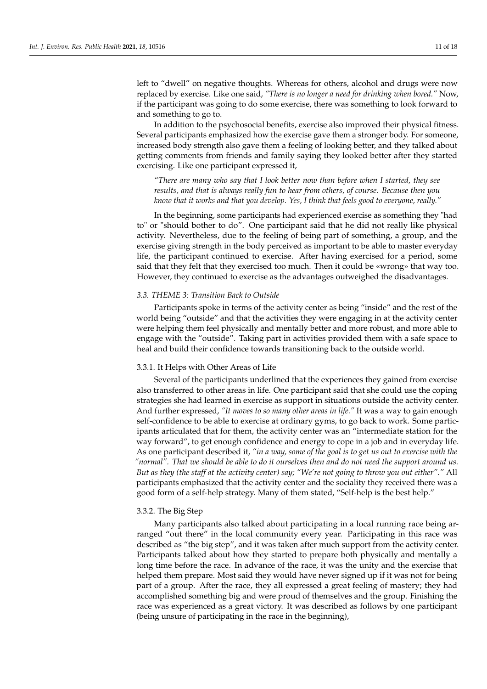left to "dwell" on negative thoughts. Whereas for others, alcohol and drugs were now replaced by exercise. Like one said, *"There is no longer a need for drinking when bored."* Now, if the participant was going to do some exercise, there was something to look forward to and something to go to.

In addition to the psychosocial benefits, exercise also improved their physical fitness. Several participants emphasized how the exercise gave them a stronger body. For someone, increased body strength also gave them a feeling of looking better, and they talked about getting comments from friends and family saying they looked better after they started exercising. Like one participant expressed it,

*"There are many who say that I look better now than before when I started, they see results, and that is always really fun to hear from others, of course. Because then you know that it works and that you develop. Yes, I think that feels good to everyone, really."*

In the beginning, some participants had experienced exercise as something they "had to" or "should bother to do". One participant said that he did not really like physical activity. Nevertheless, due to the feeling of being part of something, a group, and the exercise giving strength in the body perceived as important to be able to master everyday life, the participant continued to exercise. After having exercised for a period, some said that they felt that they exercised too much. Then it could be «wrong» that way too. However, they continued to exercise as the advantages outweighed the disadvantages.

## *3.3. THEME 3: Transition Back to Outside*

Participants spoke in terms of the activity center as being "inside" and the rest of the world being "outside" and that the activities they were engaging in at the activity center were helping them feel physically and mentally better and more robust, and more able to engage with the "outside". Taking part in activities provided them with a safe space to heal and build their confidence towards transitioning back to the outside world.

#### 3.3.1. It Helps with Other Areas of Life

Several of the participants underlined that the experiences they gained from exercise also transferred to other areas in life. One participant said that she could use the coping strategies she had learned in exercise as support in situations outside the activity center. And further expressed, *"It moves to so many other areas in life."* It was a way to gain enough self-confidence to be able to exercise at ordinary gyms, to go back to work. Some participants articulated that for them, the activity center was an "intermediate station for the way forward", to get enough confidence and energy to cope in a job and in everyday life. As one participant described it, *"in a way, some of the goal is to get us out to exercise with the "normal". That we should be able to do it ourselves then and do not need the support around us. But as they (the staff at the activity center) say; "We're not going to throw you out either"."* All participants emphasized that the activity center and the sociality they received there was a good form of a self-help strategy. Many of them stated, "Self-help is the best help."

#### 3.3.2. The Big Step

Many participants also talked about participating in a local running race being arranged "out there" in the local community every year. Participating in this race was described as "the big step", and it was taken after much support from the activity center. Participants talked about how they started to prepare both physically and mentally a long time before the race. In advance of the race, it was the unity and the exercise that helped them prepare. Most said they would have never signed up if it was not for being part of a group. After the race, they all expressed a great feeling of mastery; they had accomplished something big and were proud of themselves and the group. Finishing the race was experienced as a great victory. It was described as follows by one participant (being unsure of participating in the race in the beginning),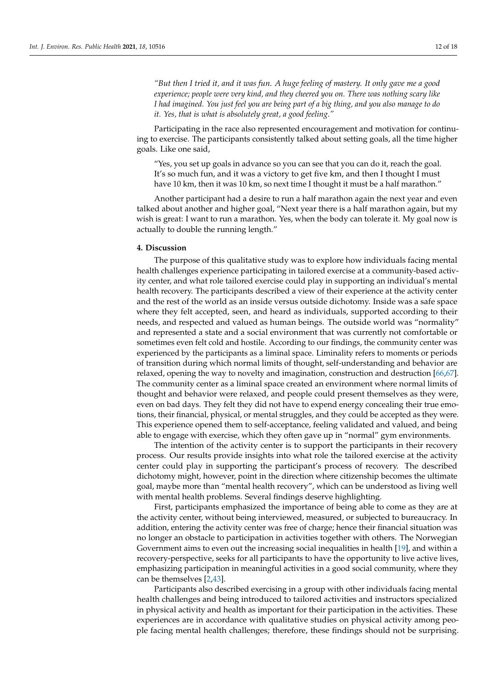*"But then I tried it, and it was fun. A huge feeling of mastery. It only gave me a good experience; people were very kind, and they cheered you on. There was nothing scary like I had imagined. You just feel you are being part of a big thing, and you also manage to do it. Yes, that is what is absolutely great, a good feeling."*

Participating in the race also represented encouragement and motivation for continuing to exercise. The participants consistently talked about setting goals, all the time higher goals. Like one said,

"Yes, you set up goals in advance so you can see that you can do it, reach the goal. It's so much fun, and it was a victory to get five km, and then I thought I must have 10 km, then it was 10 km, so next time I thought it must be a half marathon."

Another participant had a desire to run a half marathon again the next year and even talked about another and higher goal, "Next year there is a half marathon again, but my wish is great: I want to run a marathon. Yes, when the body can tolerate it. My goal now is actually to double the running length."

## **4. Discussion**

The purpose of this qualitative study was to explore how individuals facing mental health challenges experience participating in tailored exercise at a community-based activity center, and what role tailored exercise could play in supporting an individual's mental health recovery. The participants described a view of their experience at the activity center and the rest of the world as an inside versus outside dichotomy. Inside was a safe space where they felt accepted, seen, and heard as individuals, supported according to their needs, and respected and valued as human beings. The outside world was "normality" and represented a state and a social environment that was currently not comfortable or sometimes even felt cold and hostile. According to our findings, the community center was experienced by the participants as a liminal space. Liminality refers to moments or periods of transition during which normal limits of thought, self-understanding and behavior are relaxed, opening the way to novelty and imagination, construction and destruction [\[66](#page-17-9)[,67\]](#page-17-10). The community center as a liminal space created an environment where normal limits of thought and behavior were relaxed, and people could present themselves as they were, even on bad days. They felt they did not have to expend energy concealing their true emotions, their financial, physical, or mental struggles, and they could be accepted as they were. This experience opened them to self-acceptance, feeling validated and valued, and being able to engage with exercise, which they often gave up in "normal" gym environments.

The intention of the activity center is to support the participants in their recovery process. Our results provide insights into what role the tailored exercise at the activity center could play in supporting the participant's process of recovery. The described dichotomy might, however, point in the direction where citizenship becomes the ultimate goal, maybe more than "mental health recovery", which can be understood as living well with mental health problems. Several findings deserve highlighting.

First, participants emphasized the importance of being able to come as they are at the activity center, without being interviewed, measured, or subjected to bureaucracy. In addition, entering the activity center was free of charge; hence their financial situation was no longer an obstacle to participation in activities together with others. The Norwegian Government aims to even out the increasing social inequalities in health [\[19\]](#page-15-18), and within a recovery-perspective, seeks for all participants to have the opportunity to live active lives, emphasizing participation in meaningful activities in a good social community, where they can be themselves [\[2,](#page-15-1)[43\]](#page-16-9).

Participants also described exercising in a group with other individuals facing mental health challenges and being introduced to tailored activities and instructors specialized in physical activity and health as important for their participation in the activities. These experiences are in accordance with qualitative studies on physical activity among people facing mental health challenges; therefore, these findings should not be surprising.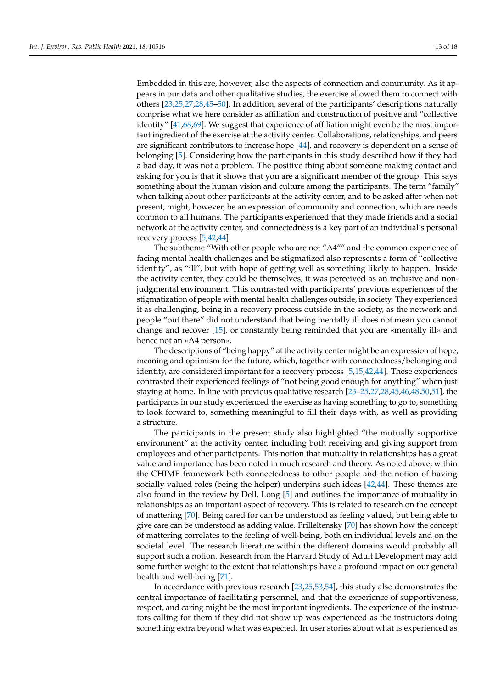Embedded in this are, however, also the aspects of connection and community. As it appears in our data and other qualitative studies, the exercise allowed them to connect with others [\[23,](#page-15-21)[25,](#page-15-24)[27,](#page-15-25)[28,](#page-15-22)[45](#page-16-11)[–50\]](#page-16-12). In addition, several of the participants' descriptions naturally comprise what we here consider as affiliation and construction of positive and "collective identity" [\[41](#page-16-7)[,68](#page-17-11)[,69\]](#page-17-12). We suggest that experience of affiliation might even be the most important ingredient of the exercise at the activity center. Collaborations, relationships, and peers are significant contributors to increase hope [\[44\]](#page-16-10), and recovery is dependent on a sense of belonging [\[5\]](#page-15-3). Considering how the participants in this study described how if they had a bad day, it was not a problem. The positive thing about someone making contact and asking for you is that it shows that you are a significant member of the group. This says something about the human vision and culture among the participants. The term "family" when talking about other participants at the activity center, and to be asked after when not present, might, however, be an expression of community and connection, which are needs common to all humans. The participants experienced that they made friends and a social network at the activity center, and connectedness is a key part of an individual's personal recovery process [\[5,](#page-15-3)[42,](#page-16-8)[44\]](#page-16-10).

The subtheme "With other people who are not "A4"" and the common experience of facing mental health challenges and be stigmatized also represents a form of "collective identity", as "ill", but with hope of getting well as something likely to happen. Inside the activity center, they could be themselves; it was perceived as an inclusive and nonjudgmental environment. This contrasted with participants' previous experiences of the stigmatization of people with mental health challenges outside, in society. They experienced it as challenging, being in a recovery process outside in the society, as the network and people "out there" did not understand that being mentally ill does not mean you cannot change and recover [\[15\]](#page-15-14), or constantly being reminded that you are «mentally ill» and hence not an «A4 person».

The descriptions of "being happy" at the activity center might be an expression of hope, meaning and optimism for the future, which, together with connectedness/belonging and identity, are considered important for a recovery process [\[5](#page-15-3)[,15](#page-15-14)[,42](#page-16-8)[,44\]](#page-16-10). These experiences contrasted their experienced feelings of "not being good enough for anything" when just staying at home. In line with previous qualitative research [\[23–](#page-15-21)[25,](#page-15-24)[27](#page-15-25)[,28](#page-15-22)[,45](#page-16-11)[,46,](#page-16-13)[48,](#page-16-14)[50,](#page-16-12)[51\]](#page-16-15), the participants in our study experienced the exercise as having something to go to, something to look forward to, something meaningful to fill their days with, as well as providing a structure.

The participants in the present study also highlighted "the mutually supportive environment" at the activity center, including both receiving and giving support from employees and other participants. This notion that mutuality in relationships has a great value and importance has been noted in much research and theory. As noted above, within the CHIME framework both connectedness to other people and the notion of having socially valued roles (being the helper) underpins such ideas [\[42,](#page-16-8)[44\]](#page-16-10). These themes are also found in the review by Dell, Long [\[5\]](#page-15-3) and outlines the importance of mutuality in relationships as an important aspect of recovery. This is related to research on the concept of mattering [\[70\]](#page-17-13). Being cared for can be understood as feeling valued, but being able to give care can be understood as adding value. Prilleltensky [\[70\]](#page-17-13) has shown how the concept of mattering correlates to the feeling of well-being, both on individual levels and on the societal level. The research literature within the different domains would probably all support such a notion. Research from the Harvard Study of Adult Development may add some further weight to the extent that relationships have a profound impact on our general health and well-being [\[71\]](#page-17-14).

In accordance with previous research [\[23](#page-15-21)[,25](#page-15-24)[,53](#page-16-17)[,54\]](#page-16-18), this study also demonstrates the central importance of facilitating personnel, and that the experience of supportiveness, respect, and caring might be the most important ingredients. The experience of the instructors calling for them if they did not show up was experienced as the instructors doing something extra beyond what was expected. In user stories about what is experienced as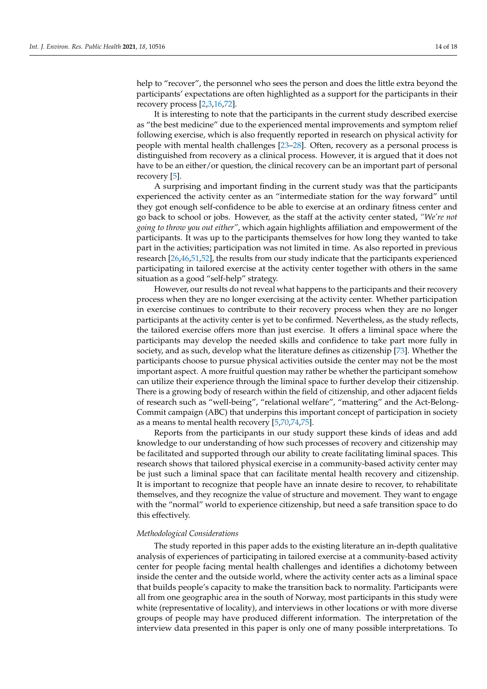help to "recover", the personnel who sees the person and does the little extra beyond the participants' expectations are often highlighted as a support for the participants in their recovery process [\[2,](#page-15-1)[3,](#page-15-5)[16,](#page-15-15)[72\]](#page-17-15).

It is interesting to note that the participants in the current study described exercise as "the best medicine" due to the experienced mental improvements and symptom relief following exercise, which is also frequently reported in research on physical activity for people with mental health challenges [\[23](#page-15-21)[–28\]](#page-15-22). Often, recovery as a personal process is distinguished from recovery as a clinical process. However, it is argued that it does not have to be an either/or question, the clinical recovery can be an important part of personal recovery [\[5\]](#page-15-3).

A surprising and important finding in the current study was that the participants experienced the activity center as an "intermediate station for the way forward" until they got enough self-confidence to be able to exercise at an ordinary fitness center and go back to school or jobs. However, as the staff at the activity center stated, *"We're not going to throw you out either"*, which again highlights affiliation and empowerment of the participants. It was up to the participants themselves for how long they wanted to take part in the activities; participation was not limited in time. As also reported in previous research [\[26](#page-15-26)[,46](#page-16-13)[,51,](#page-16-15)[52\]](#page-16-16), the results from our study indicate that the participants experienced participating in tailored exercise at the activity center together with others in the same situation as a good "self-help" strategy.

However, our results do not reveal what happens to the participants and their recovery process when they are no longer exercising at the activity center. Whether participation in exercise continues to contribute to their recovery process when they are no longer participants at the activity center is yet to be confirmed. Nevertheless, as the study reflects, the tailored exercise offers more than just exercise. It offers a liminal space where the participants may develop the needed skills and confidence to take part more fully in society, and as such, develop what the literature defines as citizenship [\[73\]](#page-17-16). Whether the participants choose to pursue physical activities outside the center may not be the most important aspect. A more fruitful question may rather be whether the participant somehow can utilize their experience through the liminal space to further develop their citizenship. There is a growing body of research within the field of citizenship, and other adjacent fields of research such as "well-being", "relational welfare", "mattering" and the Act-Belong-Commit campaign (ABC) that underpins this important concept of participation in society as a means to mental health recovery [\[5,](#page-15-3)[70,](#page-17-13)[74,](#page-17-17)[75\]](#page-17-18).

Reports from the participants in our study support these kinds of ideas and add knowledge to our understanding of how such processes of recovery and citizenship may be facilitated and supported through our ability to create facilitating liminal spaces. This research shows that tailored physical exercise in a community-based activity center may be just such a liminal space that can facilitate mental health recovery and citizenship. It is important to recognize that people have an innate desire to recover, to rehabilitate themselves, and they recognize the value of structure and movement. They want to engage with the "normal" world to experience citizenship, but need a safe transition space to do this effectively.

## *Methodological Considerations*

The study reported in this paper adds to the existing literature an in-depth qualitative analysis of experiences of participating in tailored exercise at a community-based activity center for people facing mental health challenges and identifies a dichotomy between inside the center and the outside world, where the activity center acts as a liminal space that builds people's capacity to make the transition back to normality. Participants were all from one geographic area in the south of Norway, most participants in this study were white (representative of locality), and interviews in other locations or with more diverse groups of people may have produced different information. The interpretation of the interview data presented in this paper is only one of many possible interpretations. To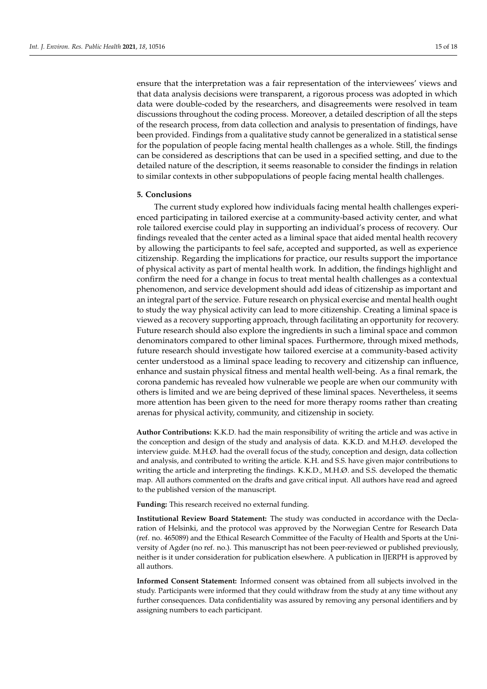ensure that the interpretation was a fair representation of the interviewees' views and that data analysis decisions were transparent, a rigorous process was adopted in which data were double-coded by the researchers, and disagreements were resolved in team discussions throughout the coding process. Moreover, a detailed description of all the steps of the research process, from data collection and analysis to presentation of findings, have been provided. Findings from a qualitative study cannot be generalized in a statistical sense for the population of people facing mental health challenges as a whole. Still, the findings can be considered as descriptions that can be used in a specified setting, and due to the detailed nature of the description, it seems reasonable to consider the findings in relation to similar contexts in other subpopulations of people facing mental health challenges.

#### **5. Conclusions**

The current study explored how individuals facing mental health challenges experienced participating in tailored exercise at a community-based activity center, and what role tailored exercise could play in supporting an individual's process of recovery. Our findings revealed that the center acted as a liminal space that aided mental health recovery by allowing the participants to feel safe, accepted and supported, as well as experience citizenship. Regarding the implications for practice, our results support the importance of physical activity as part of mental health work. In addition, the findings highlight and confirm the need for a change in focus to treat mental health challenges as a contextual phenomenon, and service development should add ideas of citizenship as important and an integral part of the service. Future research on physical exercise and mental health ought to study the way physical activity can lead to more citizenship. Creating a liminal space is viewed as a recovery supporting approach, through facilitating an opportunity for recovery. Future research should also explore the ingredients in such a liminal space and common denominators compared to other liminal spaces. Furthermore, through mixed methods, future research should investigate how tailored exercise at a community-based activity center understood as a liminal space leading to recovery and citizenship can influence, enhance and sustain physical fitness and mental health well-being. As a final remark, the corona pandemic has revealed how vulnerable we people are when our community with others is limited and we are being deprived of these liminal spaces. Nevertheless, it seems more attention has been given to the need for more therapy rooms rather than creating arenas for physical activity, community, and citizenship in society.

**Author Contributions:** K.K.D. had the main responsibility of writing the article and was active in the conception and design of the study and analysis of data. K.K.D. and M.H.Ø. developed the interview guide. M.H.Ø. had the overall focus of the study, conception and design, data collection and analysis, and contributed to writing the article. K.H. and S.S. have given major contributions to writing the article and interpreting the findings. K.K.D., M.H.Ø. and S.S. developed the thematic map. All authors commented on the drafts and gave critical input. All authors have read and agreed to the published version of the manuscript.

**Funding:** This research received no external funding.

**Institutional Review Board Statement:** The study was conducted in accordance with the Declaration of Helsinki, and the protocol was approved by the Norwegian Centre for Research Data (ref. no. 465089) and the Ethical Research Committee of the Faculty of Health and Sports at the University of Agder (no ref. no.). This manuscript has not been peer-reviewed or published previously, neither is it under consideration for publication elsewhere. A publication in IJERPH is approved by all authors.

**Informed Consent Statement:** Informed consent was obtained from all subjects involved in the study. Participants were informed that they could withdraw from the study at any time without any further consequences. Data confidentiality was assured by removing any personal identifiers and by assigning numbers to each participant.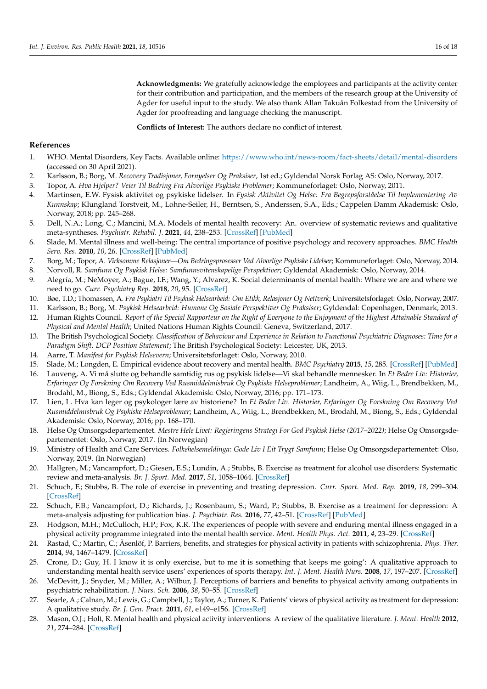**Acknowledgments:** We gratefully acknowledge the employees and participants at the activity center for their contribution and participation, and the members of the research group at the University of Agder for useful input to the study. We also thank Allan Takuån Folkestad from the University of Agder for proofreading and language checking the manuscript.

**Conflicts of Interest:** The authors declare no conflict of interest.

## **References**

- <span id="page-15-0"></span>1. WHO. Mental Disorders, Key Facts. Available online: <https://www.who.int/news-room/fact-sheets/detail/mental-disorders> (accessed on 30 April 2021).
- <span id="page-15-1"></span>2. Karlsson, B.; Borg, M. *Recovery Tradisjoner, Fornyelser Og Praksiser*, 1st ed.; Gyldendal Norsk Forlag AS: Oslo, Norway, 2017.
- <span id="page-15-5"></span>3. Topor, A. *Hva Hjelper? Veier Til Bedring Fra Alvorlige Psykiske Problemer*; Kommuneforlaget: Oslo, Norway, 2011.
- <span id="page-15-2"></span>4. Martinsen, E.W. Fysisk aktivitet og psykiske lidelser. In *Fysisk Aktivitet Og Helse: Fra Begrepsforståelse Til Implementering Av Kunnskap*; Klungland Torstveit, M., Lohne-Seiler, H., Berntsen, S., Anderssen, S.A., Eds.; Cappelen Damm Akademisk: Oslo, Norway, 2018; pp. 245–268.
- <span id="page-15-3"></span>5. Dell, N.A.; Long, C.; Mancini, M.A. Models of mental health recovery: An. overview of systematic reviews and qualitative meta-syntheses. *Psychiatr. Rehabil. J.* **2021**, *44*, 238–253. [\[CrossRef\]](http://doi.org/10.1037/prj0000444) [\[PubMed\]](http://www.ncbi.nlm.nih.gov/pubmed/33734781)
- <span id="page-15-4"></span>6. Slade, M. Mental illness and well-being: The central importance of positive psychology and recovery approaches. *BMC Health Serv. Res.* **2010**, *10*, 26. [\[CrossRef\]](http://doi.org/10.1186/1472-6963-10-26) [\[PubMed\]](http://www.ncbi.nlm.nih.gov/pubmed/20102609)
- <span id="page-15-6"></span>7. Borg, M.; Topor, A. *Virksomme Relasjoner—Om Bedringsprosesser Ved Alvorlige Psykiske Lidelser*; Kommuneforlaget: Oslo, Norway, 2014.
- <span id="page-15-7"></span>8. Norvoll, R. *Samfunn Og Psykisk Helse: Samfunnsvitenskapelige Perspektiver*; Gyldendal Akademisk: Oslo, Norway, 2014.
- <span id="page-15-8"></span>9. Alegría, M.; NeMoyer, A.; Bague, I.F.; Wang, Y.; Alvarez, K. Social determinants of mental health: Where we are and where we need to go. *Curr. Psychiatry Rep.* **2018**, *20*, 95. [\[CrossRef\]](http://doi.org/10.1007/s11920-018-0969-9)
- <span id="page-15-9"></span>10. Bøe, T.D.; Thomassen, A. *Fra Psykiatri Til Psykisk Helsearbeid: Om Etikk, Relasjoner Og Nettverk*; Universitetsforlaget: Oslo, Norway, 2007.
- <span id="page-15-10"></span>11. Karlsson, B.; Borg, M. *Psykisk Helsearbeid: Humane Og Sosiale Perspektiver Og Praksiser*; Gyldendal: Copenhagen, Denmark, 2013.
- <span id="page-15-11"></span>12. Human Rights Council. *Report of the Special Rapporteur on the Right of Everyone to the Enjoyment of the Highest Attainable Standard of Physical and Mental Health*; United Nations Human Rights Council: Geneva, Switzerland, 2017.
- <span id="page-15-12"></span>13. The British Psychological Society. *Classification of Behaviour and Experience in Relation to Functional Psychiatric Diagnoses: Time for a Paradigm Shift. DCP Position Statement*; The British Psychological Society: Leicester, UK, 2013.
- <span id="page-15-13"></span>14. Aarre, T. *Manifest for Psykisk Helsevern*; Universitetsforlaget: Oslo, Norway, 2010.
- <span id="page-15-14"></span>15. Slade, M.; Longden, E. Empirical evidence about recovery and mental health. *BMC Psychiatry* **2015**, *15*, 285. [\[CrossRef\]](http://doi.org/10.1186/s12888-015-0678-4) [\[PubMed\]](http://www.ncbi.nlm.nih.gov/pubmed/26573691)
- <span id="page-15-15"></span>16. Lauveng, A. Vi må slutte og behandle samtidig rus og psykisk lidelse—Vi skal behandle mennesker. In *Et Bedre Liv: Historier, Erfaringer Og Forskning Om Recovery Ved Rusmiddelmisbruk Og Psykiske Helseproblemer*; Landheim, A., Wiig, L., Brendbekken, M., Brodahl, M., Biong, S., Eds.; Gyldendal Akademisk: Oslo, Norway, 2016; pp. 171–173.
- <span id="page-15-16"></span>17. Lien, L. Hva kan leger og psykologer lære av historiene? In *Et Bedre Liv. Historier, Erfaringer Og Forskning Om Recovery Ved Rusmiddelmisbruk Og Psykiske Helseproblemer*; Landheim, A., Wiig, L., Brendbekken, M., Brodahl, M., Biong, S., Eds.; Gyldendal Akademisk: Oslo, Norway, 2016; pp. 168–170.
- <span id="page-15-17"></span>18. Helse Og Omsorgsdepartementet. *Mestre Hele Livet: Regjeringens Strategi For God Psykisk Helse (2017–2022)*; Helse Og Omsorgsdepartementet: Oslo, Norway, 2017. (In Norwegian)
- <span id="page-15-18"></span>19. Ministry of Health and Care Services. *Folkehelsemeldinga: Gode Liv I Eit Trygt Samfunn*; Helse Og Omsorgsdepartementet: Olso, Norway, 2019. (In Norwegian)
- <span id="page-15-19"></span>20. Hallgren, M.; Vancampfort, D.; Giesen, E.S.; Lundin, A.; Stubbs, B. Exercise as treatment for alcohol use disorders: Systematic review and meta-analysis. *Br. J. Sport. Med.* **2017**, *51*, 1058–1064. [\[CrossRef\]](http://doi.org/10.1136/bjsports-2016-096814)
- <span id="page-15-23"></span>21. Schuch, F.; Stubbs, B. The role of exercise in preventing and treating depression. *Curr. Sport. Med. Rep.* **2019**, *18*, 299–304. [\[CrossRef\]](http://doi.org/10.1249/JSR.0000000000000620)
- <span id="page-15-20"></span>22. Schuch, F.B.; Vancampfort, D.; Richards, J.; Rosenbaum, S.; Ward, P.; Stubbs, B. Exercise as a treatment for depression: A meta-analysis adjusting for publication bias. *J. Psychiatr. Res.* **2016**, *77*, 42–51. [\[CrossRef\]](http://doi.org/10.1016/j.jpsychires.2016.02.023) [\[PubMed\]](http://www.ncbi.nlm.nih.gov/pubmed/26978184)
- <span id="page-15-21"></span>23. Hodgson, M.H.; McCulloch, H.P.; Fox, K.R. The experiences of people with severe and enduring mental illness engaged in a physical activity programme integrated into the mental health service. *Ment. Health Phys. Act.* **2011**, *4*, 23–29. [\[CrossRef\]](http://doi.org/10.1016/j.mhpa.2011.01.002)
- 24. Rastad, C.; Martin, C.; Åsenlöf, P. Barriers, benefits, and strategies for physical activity in patients with schizophrenia. *Phys. Ther.* **2014**, *94*, 1467–1479. [\[CrossRef\]](http://doi.org/10.2522/ptj.20120443)
- <span id="page-15-24"></span>25. Crone, D.; Guy, H. I know it is only exercise, but to me it is something that keeps me going': A qualitative approach to understanding mental health service users' experiences of sports therapy. *Int. J. Ment. Health Nurs.* **2008**, *17*, 197–207. [\[CrossRef\]](http://doi.org/10.1111/j.1447-0349.2008.00529.x)
- <span id="page-15-26"></span>26. McDevitt, J.; Snyder, M.; Miller, A.; Wilbur, J. Perceptions of barriers and benefits to physical activity among outpatients in psychiatric rehabilitation. *J. Nurs. Sch.* **2006**, *38*, 50–55. [\[CrossRef\]](http://doi.org/10.1111/j.1547-5069.2006.00077.x)
- <span id="page-15-25"></span>27. Searle, A.; Calnan, M.; Lewis, G.; Campbell, J.; Taylor, A.; Turner, K. Patients' views of physical activity as treatment for depression: A qualitative study. *Br. J. Gen. Pract.* **2011**, *61*, e149–e156. [\[CrossRef\]](http://doi.org/10.3399/bjgp11X567054)
- <span id="page-15-22"></span>28. Mason, O.J.; Holt, R. Mental health and physical activity interventions: A review of the qualitative literature. *J. Ment. Health* **2012**, *21*, 274–284. [\[CrossRef\]](http://doi.org/10.3109/09638237.2011.648344)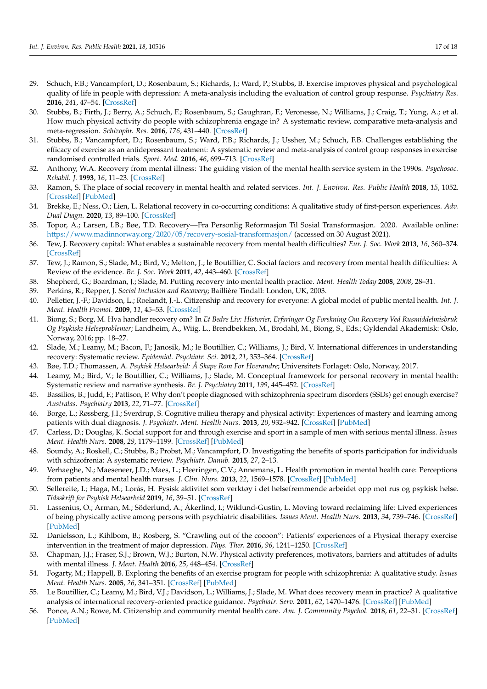- <span id="page-16-0"></span>29. Schuch, F.B.; Vancampfort, D.; Rosenbaum, S.; Richards, J.; Ward, P.; Stubbs, B. Exercise improves physical and psychological quality of life in people with depression: A meta-analysis including the evaluation of control group response. *Psychiatry Res.* **2016**, *241*, 47–54. [\[CrossRef\]](http://doi.org/10.1016/j.psychres.2016.04.054)
- 30. Stubbs, B.; Firth, J.; Berry, A.; Schuch, F.; Rosenbaum, S.; Gaughran, F.; Veronesse, N.; Williams, J.; Craig, T.; Yung, A.; et al. How much physical activity do people with schizophrenia engage in? A systematic review, comparative meta-analysis and meta-regression. *Schizophr. Res.* **2016**, *176*, 431–440. [\[CrossRef\]](http://doi.org/10.1016/j.schres.2016.05.017)
- <span id="page-16-1"></span>31. Stubbs, B.; Vancampfort, D.; Rosenbaum, S.; Ward, P.B.; Richards, J.; Ussher, M.; Schuch, F.B. Challenges establishing the efficacy of exercise as an antidepressant treatment: A systematic review and meta-analysis of control group responses in exercise randomised controlled trials. *Sport. Med.* **2016**, *46*, 699–713. [\[CrossRef\]](http://doi.org/10.1007/s40279-015-0441-5)
- <span id="page-16-2"></span>32. Anthony, W.A. Recovery from mental illness: The guiding vision of the mental health service system in the 1990s. *Psychosoc. Rehabil. J.* **1993**, *16*, 11–23. [\[CrossRef\]](http://doi.org/10.1037/h0095655)
- 33. Ramon, S. The place of social recovery in mental health and related services. *Int. J. Environ. Res. Public Health* **2018**, *15*, 1052. [\[CrossRef\]](http://doi.org/10.3390/ijerph15061052) [\[PubMed\]](http://www.ncbi.nlm.nih.gov/pubmed/29789511)
- 34. Brekke, E.; Ness, O.; Lien, L. Relational recovery in co-occurring conditions: A qualitative study of first-person experiences. *Adv. Dual Diagn.* **2020**, *13*, 89–100. [\[CrossRef\]](http://doi.org/10.1108/ADD-12-2019-0017)
- <span id="page-16-3"></span>35. Topor, A.; Larsen, I.B.; Bøe, T.D. Recovery—Fra Personlig Reformasjon Til Sosial Transformasjon. 2020. Available online: <https://www.madinnorway.org/2020/05/recovery-sosial-transformasjon/> (accessed on 30 August 2021).
- <span id="page-16-4"></span>36. Tew, J. Recovery capital: What enables a sustainable recovery from mental health difficulties? *Eur. J. Soc. Work* **2013**, *16*, 360–374. [\[CrossRef\]](http://doi.org/10.1080/13691457.2012.687713)
- <span id="page-16-5"></span>37. Tew, J.; Ramon, S.; Slade, M.; Bird, V.; Melton, J.; le Boutillier, C. Social factors and recovery from mental health difficulties: A Review of the evidence. *Br. J. Soc. Work* **2011**, *42*, 443–460. [\[CrossRef\]](http://doi.org/10.1093/bjsw/bcr076)
- <span id="page-16-6"></span>38. Shepherd, G.; Boardman, J.; Slade, M. Putting recovery into mental health practice. *Ment. Health Today* **2008**, *2008*, 28–31.
- 39. Perkins, R.; Repper, J. *Social Inclusion and Recovery*; Baillière Tindall: London, UK, 2003.
- <span id="page-16-19"></span>40. Pelletier, J.-F.; Davidson, L.; Roelandt, J.-L. Citizenship and recovery for everyone: A global model of public mental health. *Int. J. Ment. Health Promot.* **2009**, *11*, 45–53. [\[CrossRef\]](http://doi.org/10.1080/14623730.2009.9721799)
- <span id="page-16-7"></span>41. Biong, S.; Borg, M. Hva handler recovery om? In *Et Bedre Liv: Historier, Erfaringer Og Forskning Om Recovery Ved Rusmiddelmisbruk Og Psykiske Helseproblemer*; Landheim, A., Wiig, L., Brendbekken, M., Brodahl, M., Biong, S., Eds.; Gyldendal Akademisk: Oslo, Norway, 2016; pp. 18–27.
- <span id="page-16-8"></span>42. Slade, M.; Leamy, M.; Bacon, F.; Janosik, M.; le Boutillier, C.; Williams, J.; Bird, V. International differences in understanding recovery: Systematic review. *Epidemiol. Psychiatr. Sci.* **2012**, *21*, 353–364. [\[CrossRef\]](http://doi.org/10.1017/S2045796012000133)
- <span id="page-16-9"></span>43. Bøe, T.D.; Thomassen, A. *Psykisk Helsearbeid: Å Skape Rom For Hverandre*; Universitets Forlaget: Oslo, Norway, 2017.
- <span id="page-16-10"></span>44. Leamy, M.; Bird, V.; le Boutillier, C.; Williams, J.; Slade, M. Conceptual framework for personal recovery in mental health: Systematic review and narrative synthesis. *Br. J. Psychiatry* **2011**, *199*, 445–452. [\[CrossRef\]](http://doi.org/10.1192/bjp.bp.110.083733)
- <span id="page-16-11"></span>45. Bassilios, B.; Judd, F.; Pattison, P. Why don't people diagnosed with schizophrenia spectrum disorders (SSDs) get enough exercise? *Australas. Psychiatry* **2013**, *22*, 71–77. [\[CrossRef\]](http://doi.org/10.1177/1039856213510575)
- <span id="page-16-13"></span>46. Borge, L.; Røssberg, J.I.; Sverdrup, S. Cognitive milieu therapy and physical activity: Experiences of mastery and learning among patients with dual diagnosis. *J. Psychiatr. Ment. Health Nurs.* **2013**, *20*, 932–942. [\[CrossRef\]](http://doi.org/10.1111/jpm.12090) [\[PubMed\]](http://www.ncbi.nlm.nih.gov/pubmed/23701474)
- 47. Carless, D.; Douglas, K. Social support for and through exercise and sport in a sample of men with serious mental illness. *Issues Ment. Health Nurs.* **2008**, *29*, 1179–1199. [\[CrossRef\]](http://doi.org/10.1080/01612840802370640) [\[PubMed\]](http://www.ncbi.nlm.nih.gov/pubmed/18979324)
- <span id="page-16-14"></span>48. Soundy, A.; Roskell, C.; Stubbs, B.; Probst, M.; Vancampfort, D. Investigating the benefits of sports participation for individuals with schizofrenia: A systematic review. *Psychiatr. Danub.* **2015**, *27*, 2–13.
- 49. Verhaeghe, N.; Maeseneer, J.D.; Maes, L.; Heeringen, C.V.; Annemans, L. Health promotion in mental health care: Perceptions from patients and mental health nurses. *J. Clin. Nurs.* **2013**, *22*, 1569–1578. [\[CrossRef\]](http://doi.org/10.1111/jocn.12076) [\[PubMed\]](http://www.ncbi.nlm.nih.gov/pubmed/23294398)
- <span id="page-16-12"></span>50. Sellereite, I.; Haga, M.; Lorås, H. Fysisk aktivitet som verktøy i det helsefremmende arbeidet opp mot rus og psykisk helse. *Tidsskrift for Psykisk Helsearbeid* **2019**, *16*, 39–51. [\[CrossRef\]](http://doi.org/10.18261/issn.1504-3010-2019-01-05)
- <span id="page-16-15"></span>51. Lassenius, O.; Arman, M.; Söderlund, A.; Åkerlind, I.; Wiklund-Gustin, L. Moving toward reclaiming life: Lived experiences of being physically active among persons with psychiatric disabilities. *Issues Ment. Health Nurs.* **2013**, *34*, 739–746. [\[CrossRef\]](http://doi.org/10.3109/01612840.2013.813097) [\[PubMed\]](http://www.ncbi.nlm.nih.gov/pubmed/24066649)
- <span id="page-16-16"></span>52. Danielsson, L.; Kihlbom, B.; Rosberg, S. "Crawling out of the cocoon": Patients' experiences of a Physical therapy exercise intervention in the treatment of major depression. *Phys. Ther.* **2016**, *96*, 1241–1250. [\[CrossRef\]](http://doi.org/10.2522/ptj.20150076)
- <span id="page-16-17"></span>53. Chapman, J.J.; Fraser, S.J.; Brown, W.J.; Burton, N.W. Physical activity preferences, motivators, barriers and attitudes of adults with mental illness. *J. Ment. Health* **2016**, *25*, 448–454. [\[CrossRef\]](http://doi.org/10.3109/09638237.2016.1167847)
- <span id="page-16-18"></span>54. Fogarty, M.; Happell, B. Exploring the benefits of an exercise program for people with schizophrenia: A qualitative study. *Issues Ment. Health Nurs.* **2005**, *26*, 341–351. [\[CrossRef\]](http://doi.org/10.1080/01612840590915711) [\[PubMed\]](http://www.ncbi.nlm.nih.gov/pubmed/16020051)
- <span id="page-16-20"></span>55. Le Boutillier, C.; Leamy, M.; Bird, V.J.; Davidson, L.; Williams, J.; Slade, M. What does recovery mean in practice? A qualitative analysis of international recovery-oriented practice guidance. *Psychiatr. Serv.* **2011**, *62*, 1470–1476. [\[CrossRef\]](http://doi.org/10.1176/appi.ps.001312011) [\[PubMed\]](http://www.ncbi.nlm.nih.gov/pubmed/22193795)
- <span id="page-16-21"></span>56. Ponce, A.N.; Rowe, M. Citizenship and community mental health care. *Am. J. Community Psychol.* **2018**, *61*, 22–31. [\[CrossRef\]](http://doi.org/10.1002/ajcp.12218) [\[PubMed\]](http://www.ncbi.nlm.nih.gov/pubmed/29323416)